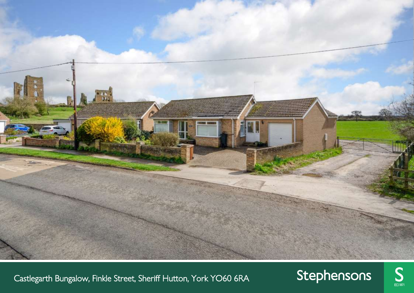

Castlegarth Bungalow, Finkle Street, Sheriff Hutton, York YO60 6RA



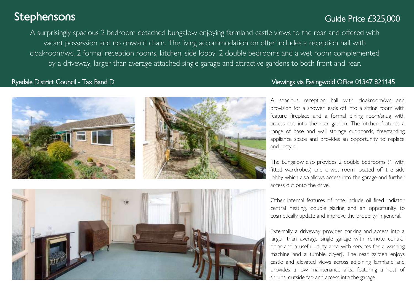# Stephensons

## Guide Price £325,000

A surprisingly spacious 2 bedroom detached bungalow enjoying farmland castle views to the rear and offered with vacant possession and no onward chain. The living accommodation on offer includes a reception hall with cloakroom/wc, 2 formal reception rooms, kitchen, side lobby, 2 double bedrooms and a wet room complemented by a driveway, larger than average attached single garage and attractive gardens to both front and rear.



### Ryedale District Council - Tax Band D Viewings via Easingwold Office 01347 821145

A spacious reception hall with cloakroom/wc and provision for a shower leads off into a sitting room with feature fireplace and a formal dining room/snug with access out into the rear garden. The kitchen features a range of base and wall storage cupboards, freestanding appliance space and provides an opportunity to replace and restyle.

The bungalow also provides 2 double bedrooms (1 with fitted wardrobes) and a wet room located off the side lobby which also allows access into the garage and further access out onto the drive.

Other internal features of note include oil fired radiator central heating, double glazing and an opportunity to cosmetically update and improve the property in general.

Externally a driveway provides parking and access into a larger than average single garage with remote control door and a useful utility area with services for a washing machine and a tumble dryer[. The rear garden enjoys castle and elevated views across adjoining farmland and provides a low maintenance area featuring a host of shrubs, outside tap and access into the garage.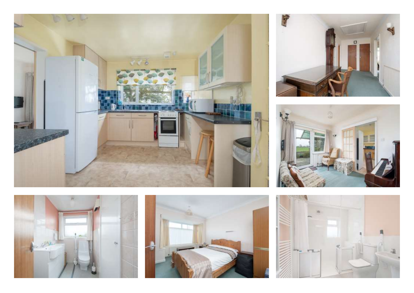